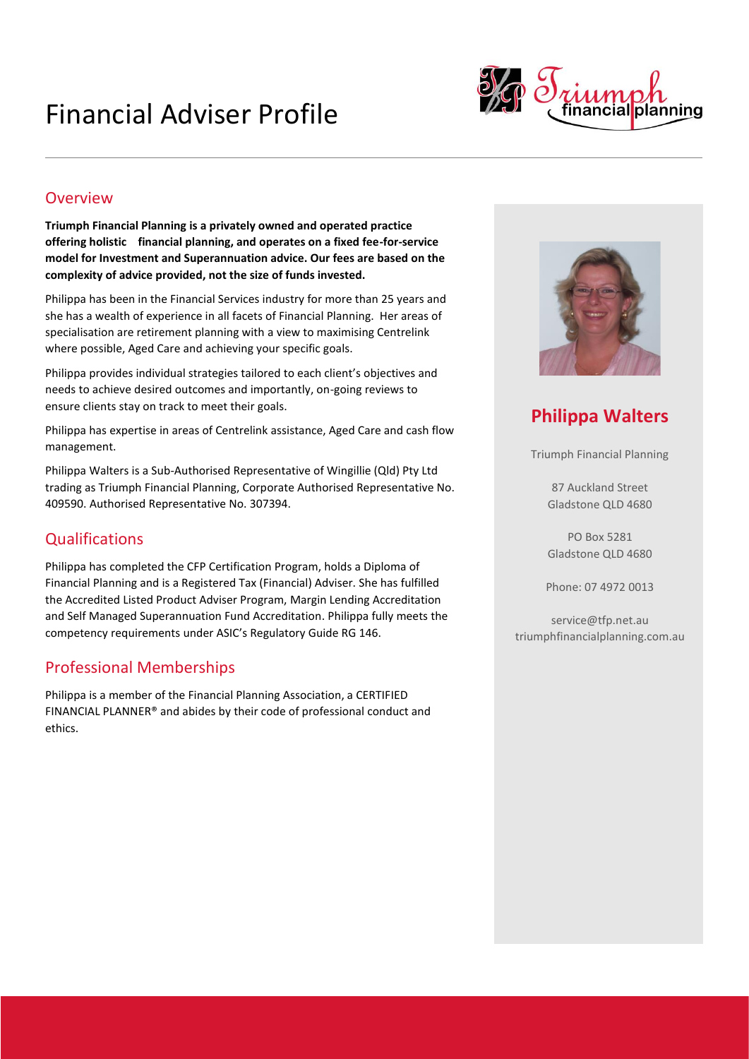# Financial Adviser Profile



#### **Overview**

**Triumph Financial Planning is a privately owned and operated practice offering holistic financial planning, and operates on a fixed fee-for-service model for Investment and Superannuation advice. Our fees are based on the complexity of advice provided, not the size of funds invested.**

Philippa has been in the Financial Services industry for more than 25 years and she has a wealth of experience in all facets of Financial Planning. Her areas of specialisation are retirement planning with a view to maximising Centrelink where possible, Aged Care and achieving your specific goals.

Philippa provides individual strategies tailored to each client's objectives and needs to achieve desired outcomes and importantly, on-going reviews to ensure clients stay on track to meet their goals.

Philippa has expertise in areas of Centrelink assistance, Aged Care and cash flow management.

Philippa Walters is a Sub-Authorised Representative of Wingillie (Qld) Pty Ltd trading as Triumph Financial Planning, Corporate Authorised Representative No. 409590. Authorised Representative No. 307394.

## **Qualifications**

Philippa has completed the CFP Certification Program, holds a Diploma of Financial Planning and is a Registered Tax (Financial) Adviser. She has fulfilled the Accredited Listed Product Adviser Program, Margin Lending Accreditation and Self Managed Superannuation Fund Accreditation. Philippa fully meets the competency requirements under ASIC's Regulatory Guide RG 146.

### Professional Memberships

Philippa is a member of the Financial Planning Association, a CERTIFIED FINANCIAL PLANNER® and abides by their code of professional conduct and ethics.



# **Philippa Walters**

Triumph Financial Planning

87 Auckland Street Gladstone QLD 4680

PO Box 5281 Gladstone QLD 4680

Phone: 07 4972 0013

service@tfp.net.au triumphfinancialplanning.com.au